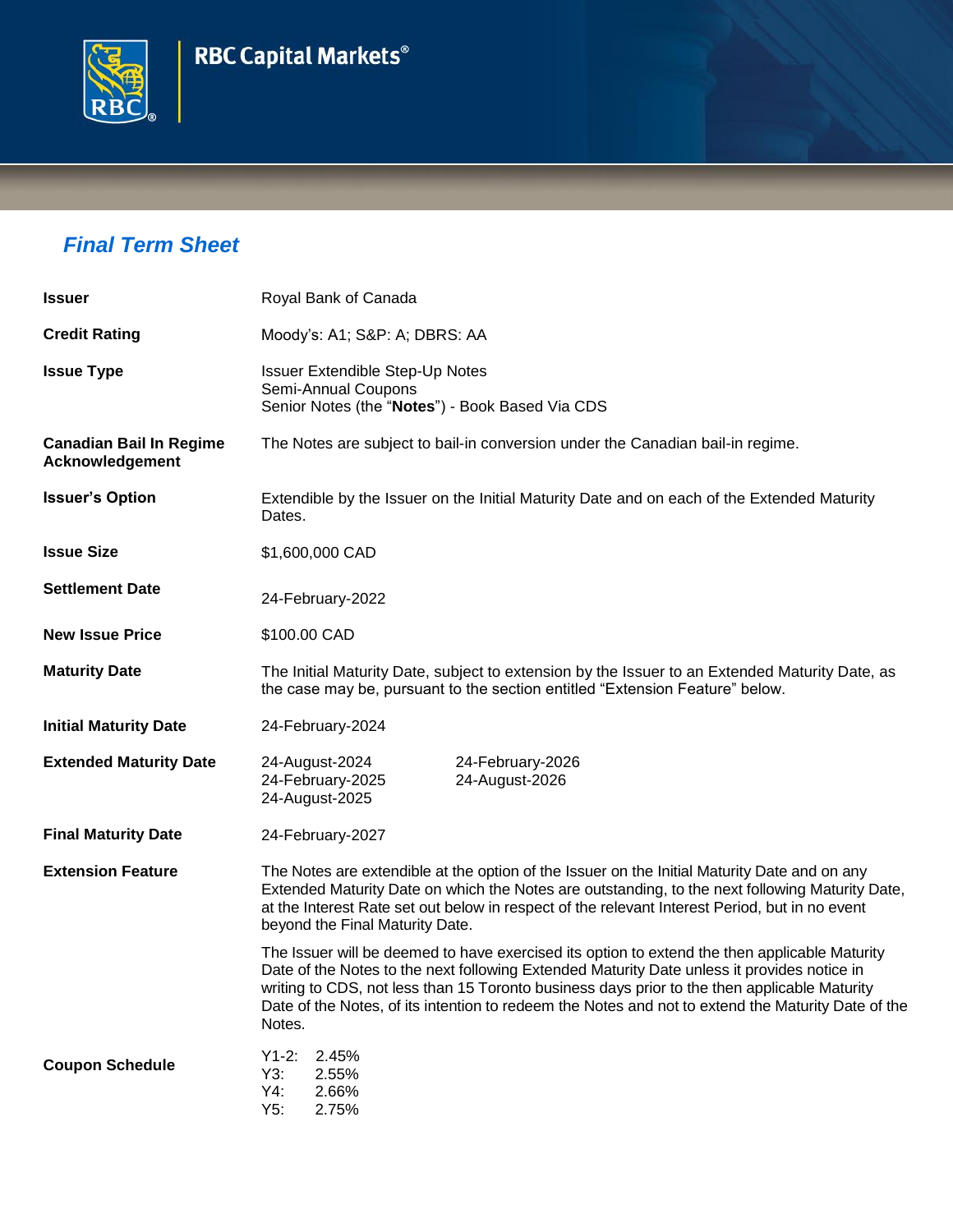



## *Final Term Sheet*

| <b>Issuer</b>                                            | Royal Bank of Canada                                                                                                                                                                                                                                                                                                                                                                                         |  |  |
|----------------------------------------------------------|--------------------------------------------------------------------------------------------------------------------------------------------------------------------------------------------------------------------------------------------------------------------------------------------------------------------------------------------------------------------------------------------------------------|--|--|
| <b>Credit Rating</b>                                     | Moody's: A1; S&P: A; DBRS: AA                                                                                                                                                                                                                                                                                                                                                                                |  |  |
| <b>Issue Type</b>                                        | <b>Issuer Extendible Step-Up Notes</b><br>Semi-Annual Coupons<br>Senior Notes (the "Notes") - Book Based Via CDS                                                                                                                                                                                                                                                                                             |  |  |
| <b>Canadian Bail In Regime</b><br><b>Acknowledgement</b> | The Notes are subject to bail-in conversion under the Canadian bail-in regime.                                                                                                                                                                                                                                                                                                                               |  |  |
| <b>Issuer's Option</b>                                   | Extendible by the Issuer on the Initial Maturity Date and on each of the Extended Maturity<br>Dates.                                                                                                                                                                                                                                                                                                         |  |  |
| <b>Issue Size</b>                                        | \$1,600,000 CAD                                                                                                                                                                                                                                                                                                                                                                                              |  |  |
| <b>Settlement Date</b>                                   | 24-February-2022                                                                                                                                                                                                                                                                                                                                                                                             |  |  |
| <b>New Issue Price</b>                                   | \$100.00 CAD                                                                                                                                                                                                                                                                                                                                                                                                 |  |  |
| <b>Maturity Date</b>                                     | The Initial Maturity Date, subject to extension by the Issuer to an Extended Maturity Date, as<br>the case may be, pursuant to the section entitled "Extension Feature" below.                                                                                                                                                                                                                               |  |  |
| <b>Initial Maturity Date</b>                             | 24-February-2024                                                                                                                                                                                                                                                                                                                                                                                             |  |  |
| <b>Extended Maturity Date</b>                            | 24-August-2024<br>24-February-2026<br>24-August-2026<br>24-February-2025<br>24-August-2025                                                                                                                                                                                                                                                                                                                   |  |  |
| <b>Final Maturity Date</b>                               | 24-February-2027                                                                                                                                                                                                                                                                                                                                                                                             |  |  |
| <b>Extension Feature</b>                                 | The Notes are extendible at the option of the Issuer on the Initial Maturity Date and on any<br>Extended Maturity Date on which the Notes are outstanding, to the next following Maturity Date,<br>at the Interest Rate set out below in respect of the relevant Interest Period, but in no event<br>beyond the Final Maturity Date.                                                                         |  |  |
|                                                          | The Issuer will be deemed to have exercised its option to extend the then applicable Maturity<br>Date of the Notes to the next following Extended Maturity Date unless it provides notice in<br>writing to CDS, not less than 15 Toronto business days prior to the then applicable Maturity<br>Date of the Notes, of its intention to redeem the Notes and not to extend the Maturity Date of the<br>Notes. |  |  |
| <b>Coupon Schedule</b>                                   | $Y1-2:$<br>2.45%<br>Y3:<br>2.55%<br>Y4:<br>2.66%<br>Y5:<br>2.75%                                                                                                                                                                                                                                                                                                                                             |  |  |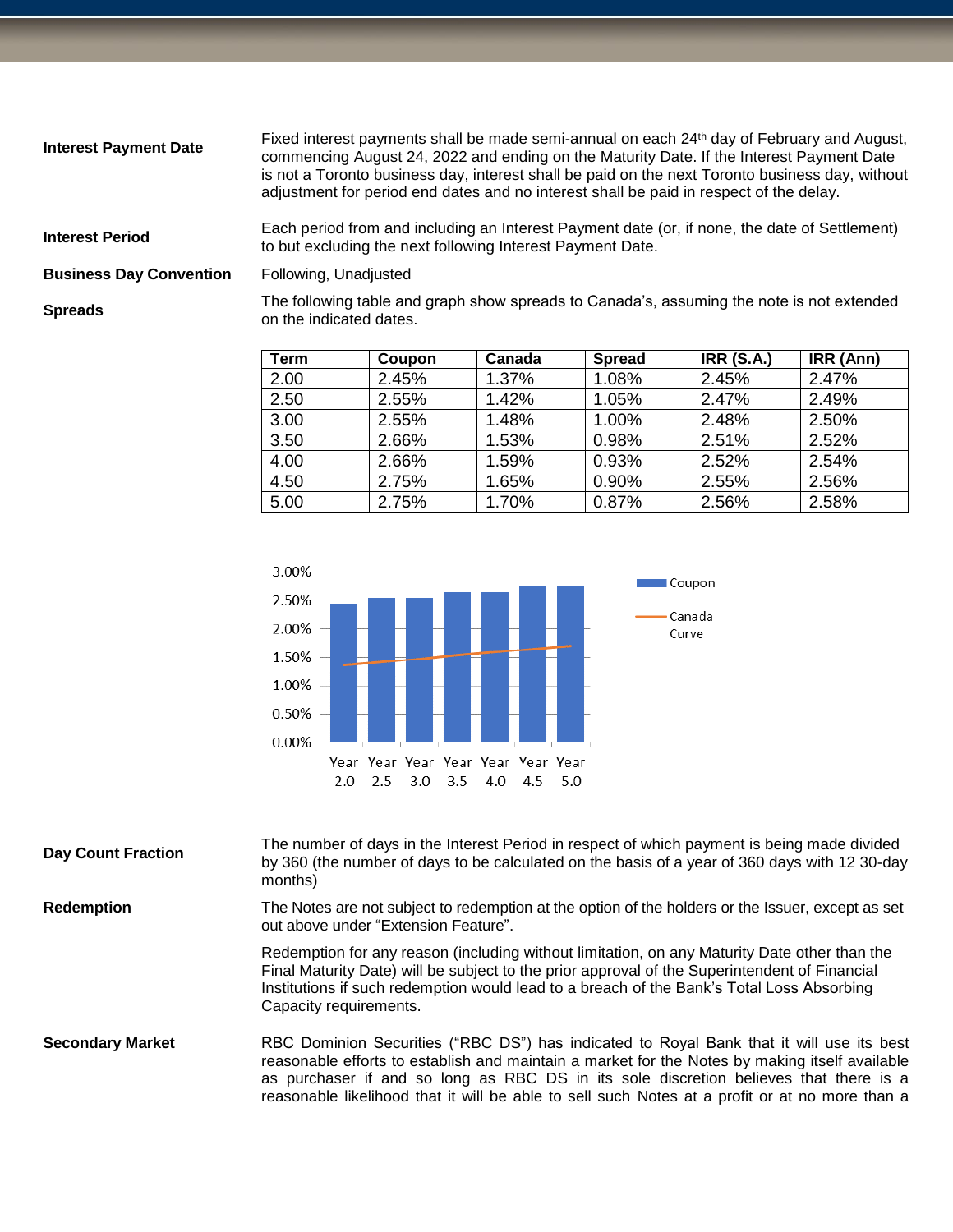| <b>Interest Payment Date</b>   | Fixed interest payments shall be made semi-annual on each 24 <sup>th</sup> day of February and August,<br>commencing August 24, 2022 and ending on the Maturity Date. If the Interest Payment Date<br>is not a Toronto business day, interest shall be paid on the next Toronto business day, without<br>adjustment for period end dates and no interest shall be paid in respect of the delay. |
|--------------------------------|-------------------------------------------------------------------------------------------------------------------------------------------------------------------------------------------------------------------------------------------------------------------------------------------------------------------------------------------------------------------------------------------------|
| <b>Interest Period</b>         | Each period from and including an Interest Payment date (or, if none, the date of Settlement)<br>to but excluding the next following Interest Payment Date.                                                                                                                                                                                                                                     |
| <b>Business Day Convention</b> | Following, Unadjusted                                                                                                                                                                                                                                                                                                                                                                           |
| <b>Spreads</b>                 | The following table and graph show spreads to Canada's, assuming the note is not extended<br>on the indicated dates.                                                                                                                                                                                                                                                                            |

| Term | Coupon | Canada | <b>Spread</b> | <b>IRR (S.A.)</b> | IRR (Ann) |
|------|--------|--------|---------------|-------------------|-----------|
| 2.00 | 2.45%  | 1.37%  | 1.08%         | 2.45%             | 2.47%     |
| 2.50 | 2.55%  | 1.42%  | 1.05%         | 2.47%             | 2.49%     |
| 3.00 | 2.55%  | 1.48%  | 1.00%         | 2.48%             | 2.50%     |
| 3.50 | 2.66%  | 1.53%  | 0.98%         | 2.51%             | 2.52%     |
| 4.00 | 2.66%  | 1.59%  | 0.93%         | 2.52%             | 2.54%     |
| 4.50 | 2.75%  | 1.65%  | 0.90%         | 2.55%             | 2.56%     |
| 5.00 | 2.75%  | 1.70%  | 0.87%         | 2.56%             | 2.58%     |



| <b>Day Count Fraction</b> | The number of days in the Interest Period in respect of which payment is being made divided<br>by 360 (the number of days to be calculated on the basis of a year of 360 days with 12 30-day<br>months)                                                                                                                                                                               |
|---------------------------|---------------------------------------------------------------------------------------------------------------------------------------------------------------------------------------------------------------------------------------------------------------------------------------------------------------------------------------------------------------------------------------|
| <b>Redemption</b>         | The Notes are not subject to redemption at the option of the holders or the Issuer, except as set<br>out above under "Extension Feature".                                                                                                                                                                                                                                             |
|                           | Redemption for any reason (including without limitation, on any Maturity Date other than the<br>Final Maturity Date) will be subject to the prior approval of the Superintendent of Financial<br>Institutions if such redemption would lead to a breach of the Bank's Total Loss Absorbing<br>Capacity requirements.                                                                  |
| <b>Secondary Market</b>   | RBC Dominion Securities ("RBC DS") has indicated to Royal Bank that it will use its best<br>reasonable efforts to establish and maintain a market for the Notes by making itself available<br>as purchaser if and so long as RBC DS in its sole discretion believes that there is a<br>reasonable likelihood that it will be able to sell such Notes at a profit or at no more than a |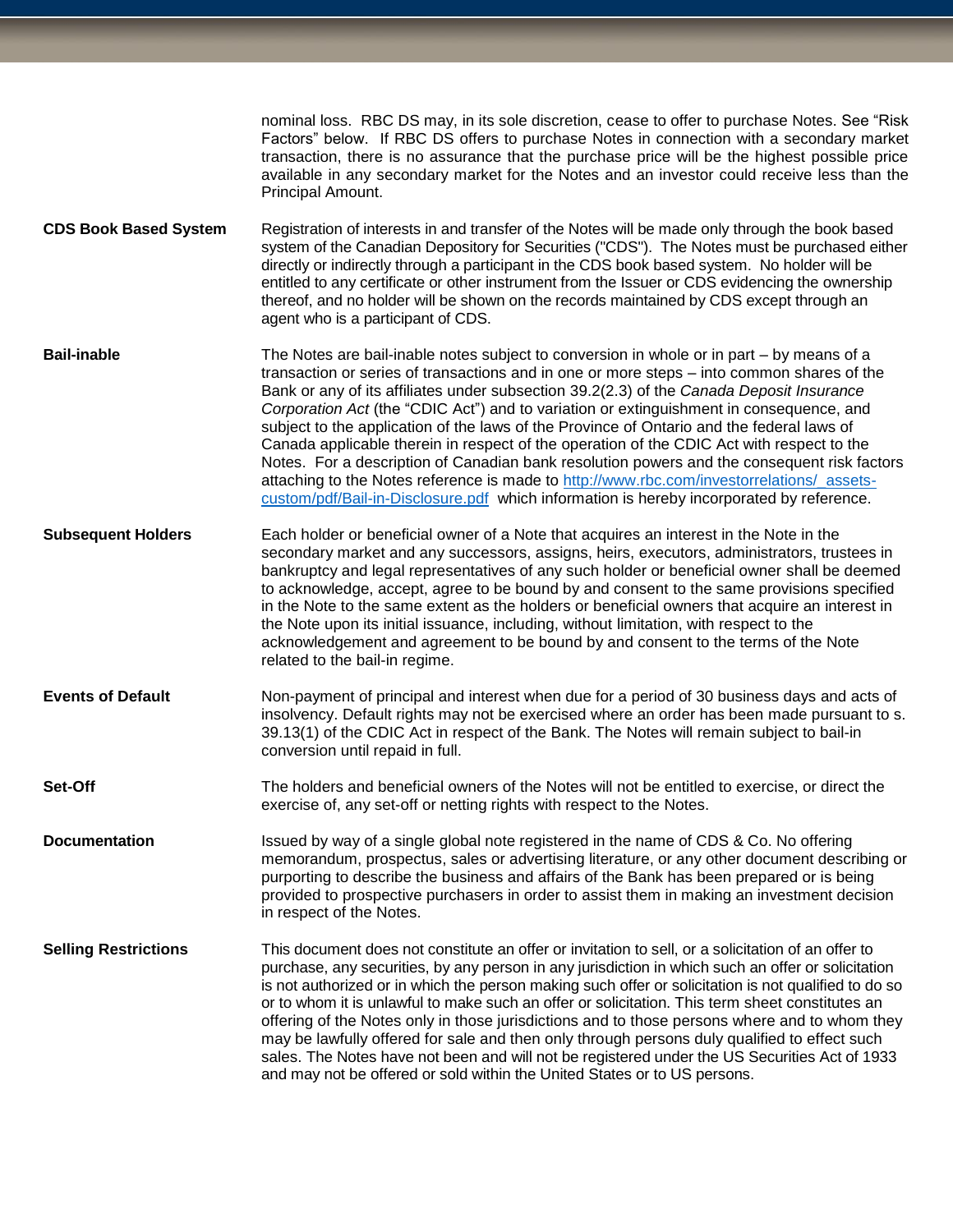|                              | nominal loss. RBC DS may, in its sole discretion, cease to offer to purchase Notes. See "Risk<br>Factors" below. If RBC DS offers to purchase Notes in connection with a secondary market<br>transaction, there is no assurance that the purchase price will be the highest possible price<br>available in any secondary market for the Notes and an investor could receive less than the<br>Principal Amount.                                                                                                                                                                                                                                                                                                                                                                                                                                                   |
|------------------------------|------------------------------------------------------------------------------------------------------------------------------------------------------------------------------------------------------------------------------------------------------------------------------------------------------------------------------------------------------------------------------------------------------------------------------------------------------------------------------------------------------------------------------------------------------------------------------------------------------------------------------------------------------------------------------------------------------------------------------------------------------------------------------------------------------------------------------------------------------------------|
| <b>CDS Book Based System</b> | Registration of interests in and transfer of the Notes will be made only through the book based<br>system of the Canadian Depository for Securities ("CDS"). The Notes must be purchased either<br>directly or indirectly through a participant in the CDS book based system. No holder will be<br>entitled to any certificate or other instrument from the Issuer or CDS evidencing the ownership<br>thereof, and no holder will be shown on the records maintained by CDS except through an<br>agent who is a participant of CDS.                                                                                                                                                                                                                                                                                                                              |
| <b>Bail-inable</b>           | The Notes are bail-inable notes subject to conversion in whole or in part – by means of a<br>transaction or series of transactions and in one or more steps - into common shares of the<br>Bank or any of its affiliates under subsection 39.2(2.3) of the Canada Deposit Insurance<br>Corporation Act (the "CDIC Act") and to variation or extinguishment in consequence, and<br>subject to the application of the laws of the Province of Ontario and the federal laws of<br>Canada applicable therein in respect of the operation of the CDIC Act with respect to the<br>Notes. For a description of Canadian bank resolution powers and the consequent risk factors<br>attaching to the Notes reference is made to http://www.rbc.com/investorrelations/_assets-<br>custom/pdf/Bail-in-Disclosure.pdf which information is hereby incorporated by reference. |
| <b>Subsequent Holders</b>    | Each holder or beneficial owner of a Note that acquires an interest in the Note in the<br>secondary market and any successors, assigns, heirs, executors, administrators, trustees in<br>bankruptcy and legal representatives of any such holder or beneficial owner shall be deemed<br>to acknowledge, accept, agree to be bound by and consent to the same provisions specified<br>in the Note to the same extent as the holders or beneficial owners that acquire an interest in<br>the Note upon its initial issuance, including, without limitation, with respect to the<br>acknowledgement and agreement to be bound by and consent to the terms of the Note<br>related to the bail-in regime.                                                                                                                                                             |
| <b>Events of Default</b>     | Non-payment of principal and interest when due for a period of 30 business days and acts of<br>insolvency. Default rights may not be exercised where an order has been made pursuant to s.<br>39.13(1) of the CDIC Act in respect of the Bank. The Notes will remain subject to bail-in<br>conversion until repaid in full.                                                                                                                                                                                                                                                                                                                                                                                                                                                                                                                                      |
| Set-Off                      | The holders and beneficial owners of the Notes will not be entitled to exercise, or direct the<br>exercise of, any set-off or netting rights with respect to the Notes.                                                                                                                                                                                                                                                                                                                                                                                                                                                                                                                                                                                                                                                                                          |
| <b>Documentation</b>         | Issued by way of a single global note registered in the name of CDS & Co. No offering<br>memorandum, prospectus, sales or advertising literature, or any other document describing or<br>purporting to describe the business and affairs of the Bank has been prepared or is being<br>provided to prospective purchasers in order to assist them in making an investment decision<br>in respect of the Notes.                                                                                                                                                                                                                                                                                                                                                                                                                                                    |
| <b>Selling Restrictions</b>  | This document does not constitute an offer or invitation to sell, or a solicitation of an offer to<br>purchase, any securities, by any person in any jurisdiction in which such an offer or solicitation<br>is not authorized or in which the person making such offer or solicitation is not qualified to do so<br>or to whom it is unlawful to make such an offer or solicitation. This term sheet constitutes an<br>offering of the Notes only in those jurisdictions and to those persons where and to whom they<br>may be lawfully offered for sale and then only through persons duly qualified to effect such<br>sales. The Notes have not been and will not be registered under the US Securities Act of 1933<br>and may not be offered or sold within the United States or to US persons.                                                               |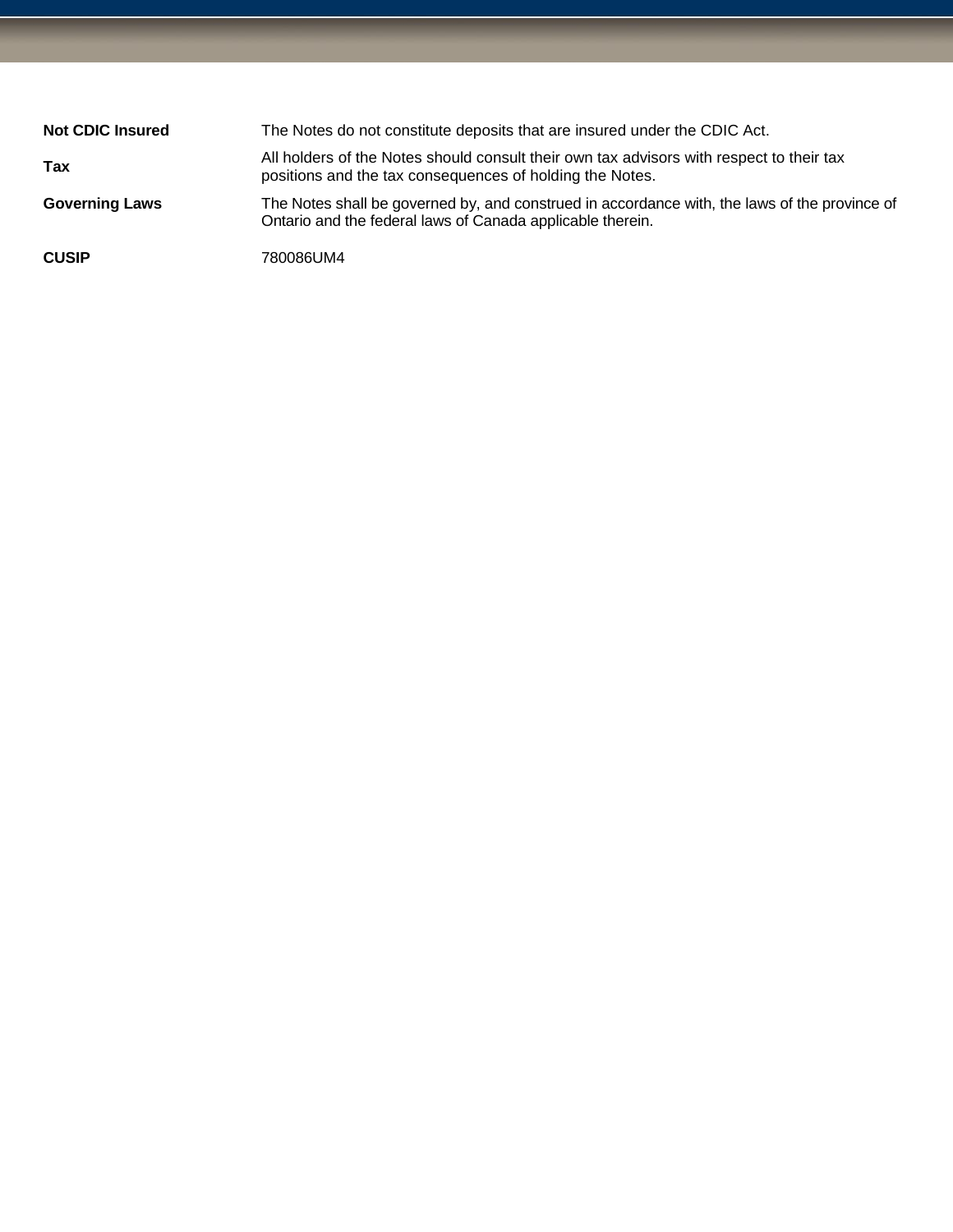| <b>Not CDIC Insured</b> | The Notes do not constitute deposits that are insured under the CDIC Act.                                                                                   |
|-------------------------|-------------------------------------------------------------------------------------------------------------------------------------------------------------|
| Tax                     | All holders of the Notes should consult their own tax advisors with respect to their tax<br>positions and the tax consequences of holding the Notes.        |
| <b>Governing Laws</b>   | The Notes shall be governed by, and construed in accordance with, the laws of the province of<br>Ontario and the federal laws of Canada applicable therein. |
| <b>CUSIP</b>            | 780086UM4                                                                                                                                                   |